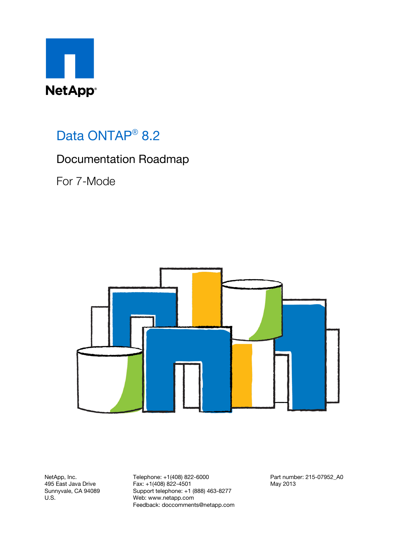

## Data ONTAP<sup>®</sup> 8.2

#### Documentation Roadmap

For 7-Mode



NetApp, Inc. 495 East Java Drive Sunnyvale, CA 94089 U.S.

Telephone: +1(408) 822-6000 Fax: +1(408) 822-4501 Support telephone: +1 (888) 463-8277 Web: www.netapp.com Feedback: doccomments@netapp.com Part number: 215-07952\_A0 May 2013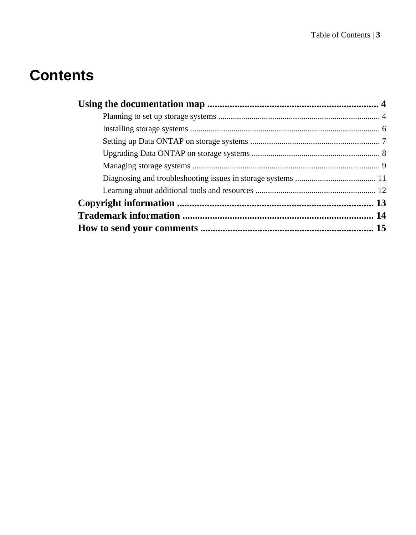# **Contents**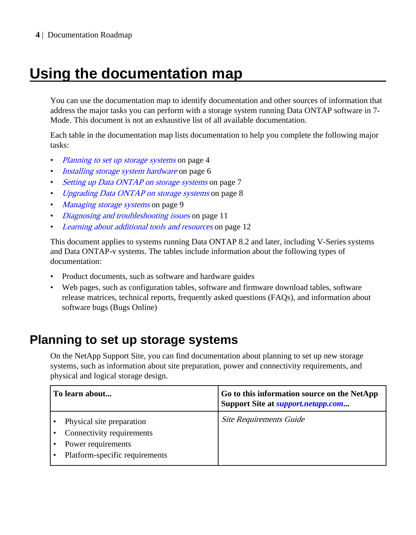# <span id="page-3-0"></span>**Using the documentation map**

You can use the documentation map to identify documentation and other sources of information that address the major tasks you can perform with a storage system running Data ONTAP software in 7- Mode. This document is not an exhaustive list of all available documentation.

Each table in the documentation map lists documentation to help you complete the following major tasks:

- Planning to set up storage systems on page 4
- [Installing storage system hardware](#page-5-0) on page 6
- [Setting up Data ONTAP on storage systems](#page-6-0) on page 7
- [Upgrading Data ONTAP on storage systems](#page-7-0) on page 8
- [Managing storage systems](#page-8-0) on page 9
- [Diagnosing and troubleshooting issues](#page-10-0) on page 11
- [Learning about additional tools and resources](#page-11-0) on page 12

This document applies to systems running Data ONTAP 8.2 and later, including V-Series systems and Data ONTAP-v systems. The tables include information about the following types of documentation:

- Product documents, such as software and hardware guides
- Web pages, such as configuration tables, software and firmware download tables, software release matrices, technical reports, frequently asked questions (FAQs), and information about software bugs (Bugs Online)

#### **Planning to set up storage systems**

On the NetApp Support Site, you can find documentation about planning to set up new storage systems, such as information about site preparation, power and connectivity requirements, and physical and logical storage design.

| To learn about                                                                                                 | Go to this information source on the NetApp<br>Support Site at <i>support.netapp.com</i> |
|----------------------------------------------------------------------------------------------------------------|------------------------------------------------------------------------------------------|
| Physical site preparation<br>Connectivity requirements<br>Power requirements<br>Platform-specific requirements | <b>Site Requirements Guide</b>                                                           |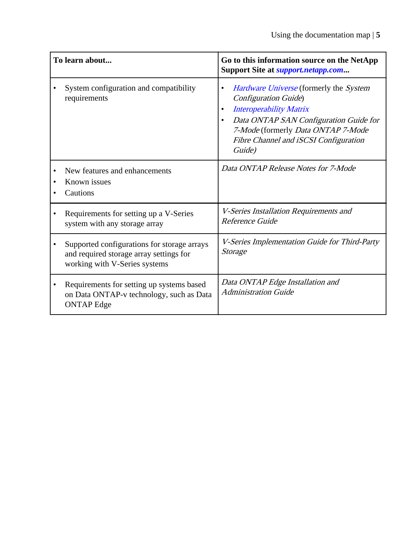| To learn about                                                                                                          | Go to this information source on the NetApp<br>Support Site at <i>support.netapp.com</i>                                                                                                                                                                      |
|-------------------------------------------------------------------------------------------------------------------------|---------------------------------------------------------------------------------------------------------------------------------------------------------------------------------------------------------------------------------------------------------------|
| System configuration and compatibility<br>requirements                                                                  | Hardware Universe (formerly the System<br>$\bullet$<br><b>Configuration Guide</b> )<br><b>Interoperability Matrix</b><br>٠<br>Data ONTAP SAN Configuration Guide for<br>7-Mode (formerly Data ONTAP 7-Mode<br>Fibre Channel and iSCSI Configuration<br>Guide) |
| New features and enhancements<br>Known issues<br>Cautions                                                               | Data ONTAP Release Notes for 7-Mode                                                                                                                                                                                                                           |
| Requirements for setting up a V-Series<br>system with any storage array                                                 | V-Series Installation Requirements and<br>Reference Guide                                                                                                                                                                                                     |
| Supported configurations for storage arrays<br>and required storage array settings for<br>working with V-Series systems | V-Series Implementation Guide for Third-Party<br>Storage                                                                                                                                                                                                      |
| Requirements for setting up systems based<br>on Data ONTAP-v technology, such as Data<br><b>ONTAP</b> Edge              | Data ONTAP Edge Installation and<br><b>Administration Guide</b>                                                                                                                                                                                               |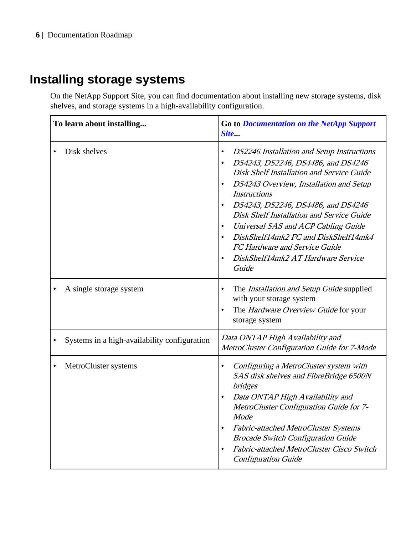## <span id="page-5-0"></span>**Installing storage systems**

On the NetApp Support Site, you can find documentation about installing new storage systems, disk shelves, and storage systems in a high-availability configuration.

| To learn about installing                    | <b>Go to Documentation on the NetApp Support</b><br>Site                                                                                                                                                                                                                                                                                                                                                                                                                                                                               |
|----------------------------------------------|----------------------------------------------------------------------------------------------------------------------------------------------------------------------------------------------------------------------------------------------------------------------------------------------------------------------------------------------------------------------------------------------------------------------------------------------------------------------------------------------------------------------------------------|
| Disk shelves                                 | DS2246 Installation and Setup Instructions<br>$\bullet$<br>DS4243, DS2246, DS4486, and DS4246<br>$\bullet$<br><b>Disk Shelf Installation and Service Guide</b><br>DS4243 Overview, Installation and Setup<br>$\bullet$<br><b>Instructions</b><br>DS4243, DS2246, DS4486, and DS4246<br>Disk Shelf Installation and Service Guide<br>Universal SAS and ACP Cabling Guide<br>$\bullet$<br>DiskShelf14mk2 FC and DiskShelf14mk4<br>$\bullet$<br>FC Hardware and Service Guide<br>DiskShelf14mk2 AT Hardware Service<br>$\bullet$<br>Guide |
| A single storage system                      | The Installation and Setup Guide supplied<br>$\bullet$<br>with your storage system<br>The Hardware Overview Guide for your<br>storage system                                                                                                                                                                                                                                                                                                                                                                                           |
| Systems in a high-availability configuration | Data ONTAP High Availability and<br>MetroCluster Configuration Guide for 7-Mode                                                                                                                                                                                                                                                                                                                                                                                                                                                        |
| MetroCluster systems                         | Configuring a MetroCluster system with<br>$\bullet$<br>SAS disk shelves and FibreBridge 6500N<br>bridges<br>Data ONTAP High Availability and<br>$\bullet$<br>MetroCluster Configuration Guide for 7-<br>Mode<br>Fabric-attached MetroCluster Systems<br>$\bullet$<br><b>Brocade Switch Configuration Guide</b><br>Fabric-attached MetroCluster Cisco Switch<br>$\bullet$<br><b>Configuration Guide</b>                                                                                                                                 |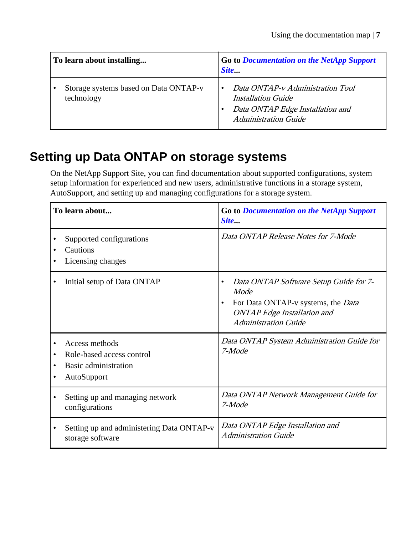<span id="page-6-0"></span>

| To learn about installing                           | Go to Documentation on the NetApp Support<br>Site                                                                                |
|-----------------------------------------------------|----------------------------------------------------------------------------------------------------------------------------------|
| Storage systems based on Data ONTAP-v<br>technology | Data ONTAP-v Administration Tool<br><b>Installation Guide</b><br>Data ONTAP Edge Installation and<br><b>Administration Guide</b> |

### **Setting up Data ONTAP on storage systems**

On the NetApp Support Site, you can find documentation about supported configurations, system setup information for experienced and new users, administrative functions in a storage system, AutoSupport, and setting up and managing configurations for a storage system.

| To learn about                                                                     | Go to Documentation on the NetApp Support<br>Site                                                                                                                      |
|------------------------------------------------------------------------------------|------------------------------------------------------------------------------------------------------------------------------------------------------------------------|
| Supported configurations<br>Cautions<br>Licensing changes                          | Data ONTAP Release Notes for 7-Mode                                                                                                                                    |
| Initial setup of Data ONTAP                                                        | Data ONTAP Software Setup Guide for 7-<br>Mode<br>For Data ONTAP-v systems, the Data<br>$\bullet$<br><b>ONTAP</b> Edge Installation and<br><b>Administration Guide</b> |
| Access methods<br>Role-based access control<br>Basic administration<br>AutoSupport | Data ONTAP System Administration Guide for<br>7-Mode                                                                                                                   |
| Setting up and managing network<br>configurations                                  | Data ONTAP Network Management Guide for<br>7-Mode                                                                                                                      |
| Setting up and administering Data ONTAP-v<br>storage software                      | Data ONTAP Edge Installation and<br><b>Administration Guide</b>                                                                                                        |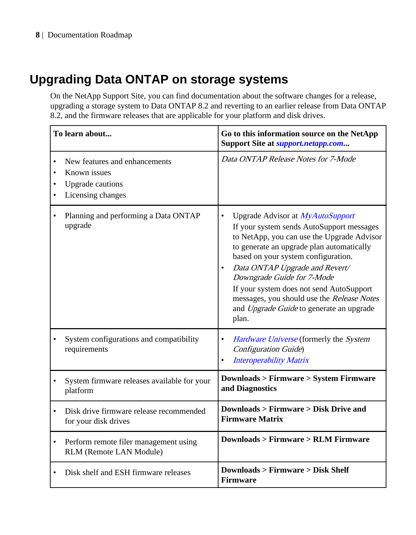## <span id="page-7-0"></span>**Upgrading Data ONTAP on storage systems**

On the NetApp Support Site, you can find documentation about the software changes for a release, upgrading a storage system to Data ONTAP 8.2 and reverting to an earlier release from Data ONTAP 8.2, and the firmware releases that are applicable for your platform and disk drives.

|                | To learn about                                                                                | Go to this information source on the NetApp<br>Support Site at <i>support.netapp.com</i>                                                                                                                                                                                                                                                                                                                                                                 |
|----------------|-----------------------------------------------------------------------------------------------|----------------------------------------------------------------------------------------------------------------------------------------------------------------------------------------------------------------------------------------------------------------------------------------------------------------------------------------------------------------------------------------------------------------------------------------------------------|
| ٠<br>$\bullet$ | New features and enhancements<br>Known issues<br><b>Upgrade</b> cautions<br>Licensing changes | Data ONTAP Release Notes for 7-Mode                                                                                                                                                                                                                                                                                                                                                                                                                      |
|                | Planning and performing a Data ONTAP<br>upgrade                                               | $\bullet$<br>Upgrade Advisor at MyAutoSupport<br>If your system sends AutoSupport messages<br>to NetApp, you can use the Upgrade Advisor<br>to generate an upgrade plan automatically<br>based on your system configuration.<br>Data ONTAP Upgrade and Revert/<br>$\bullet$<br>Downgrade Guide for 7-Mode<br>If your system does not send AutoSupport<br>messages, you should use the Release Notes<br>and Upgrade Guide to generate an upgrade<br>plan. |
| $\bullet$      | System configurations and compatibility<br>requirements                                       | Hardware Universe (formerly the System<br>٠<br>Configuration Guide)<br><b>Interoperability Matrix</b><br>$\bullet$                                                                                                                                                                                                                                                                                                                                       |
|                | System firmware releases available for your<br>platform                                       | <b>Downloads &gt; Firmware &gt; System Firmware</b><br>and Diagnostics                                                                                                                                                                                                                                                                                                                                                                                   |
|                | Disk drive firmware release recommended<br>for your disk drives                               | <b>Downloads &gt; Firmware &gt; Disk Drive and</b><br><b>Firmware Matrix</b>                                                                                                                                                                                                                                                                                                                                                                             |
| $\bullet$      | Perform remote filer management using<br>RLM (Remote LAN Module)                              | <b>Downloads &gt; Firmware &gt; RLM Firmware</b>                                                                                                                                                                                                                                                                                                                                                                                                         |
|                | Disk shelf and ESH firmware releases                                                          | <b>Downloads &gt; Firmware &gt; Disk Shelf</b><br><b>Firmware</b>                                                                                                                                                                                                                                                                                                                                                                                        |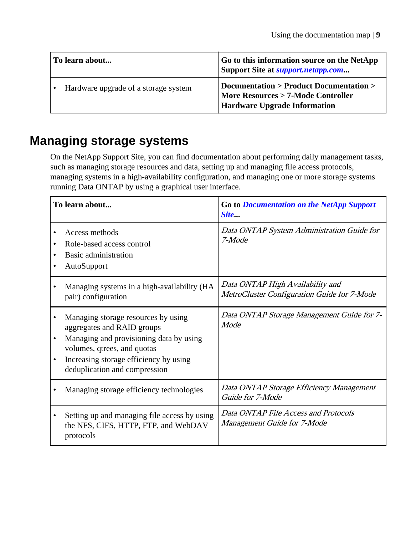<span id="page-8-0"></span>

| To learn about                       | Go to this information source on the NetApp<br>Support Site at <i>support.netapp.com</i>                             |
|--------------------------------------|----------------------------------------------------------------------------------------------------------------------|
| Hardware upgrade of a storage system | Documentation > Product Documentation ><br>More Resources > 7-Mode Controller<br><b>Hardware Upgrade Information</b> |

### **Managing storage systems**

On the NetApp Support Site, you can find documentation about performing daily management tasks, such as managing storage resources and data, setting up and managing file access protocols, managing systems in a high-availability configuration, and managing one or more storage systems running Data ONTAP by using a graphical user interface.

|                        | To learn about                                                                                                                                                                                                         | <b>Go to Documentation on the NetApp Support</b><br>Site                        |
|------------------------|------------------------------------------------------------------------------------------------------------------------------------------------------------------------------------------------------------------------|---------------------------------------------------------------------------------|
| ٠<br>٠                 | Access methods<br>Role-based access control<br>Basic administration<br>AutoSupport                                                                                                                                     | Data ONTAP System Administration Guide for<br>7-Mode                            |
|                        | Managing systems in a high-availability (HA<br>pair) configuration                                                                                                                                                     | Data ONTAP High Availability and<br>MetroCluster Configuration Guide for 7-Mode |
| $\bullet$<br>$\bullet$ | Managing storage resources by using<br>aggregates and RAID groups<br>Managing and provisioning data by using<br>volumes, qtrees, and quotas<br>Increasing storage efficiency by using<br>deduplication and compression | Data ONTAP Storage Management Guide for 7-<br>Mode                              |
|                        | Managing storage efficiency technologies                                                                                                                                                                               | Data ONTAP Storage Efficiency Management<br>Guide for 7-Mode                    |
|                        | Setting up and managing file access by using<br>the NFS, CIFS, HTTP, FTP, and WebDAV<br>protocols                                                                                                                      | Data ONTAP File Access and Protocols<br>Management Guide for 7-Mode             |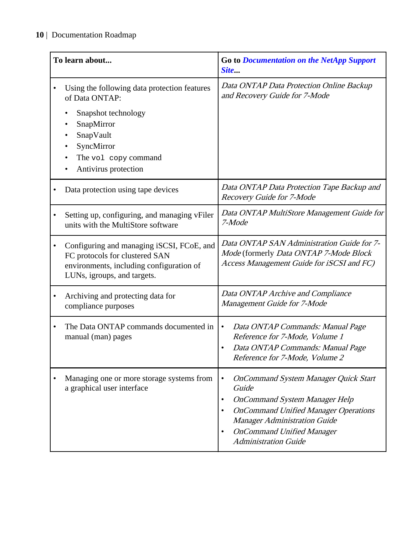|           | To learn about                                                                                                                                                                 | <b>Go to Documentation on the NetApp Support</b><br>Site                                                                                                                                                                                                                                     |
|-----------|--------------------------------------------------------------------------------------------------------------------------------------------------------------------------------|----------------------------------------------------------------------------------------------------------------------------------------------------------------------------------------------------------------------------------------------------------------------------------------------|
|           | Using the following data protection features<br>of Data ONTAP:<br>Snapshot technology<br>SnapMirror<br>SnapVault<br>SyncMirror<br>The vol copy command<br>Antivirus protection | Data ONTAP Data Protection Online Backup<br>and Recovery Guide for 7-Mode                                                                                                                                                                                                                    |
|           | Data protection using tape devices                                                                                                                                             | Data ONTAP Data Protection Tape Backup and<br>Recovery Guide for 7-Mode                                                                                                                                                                                                                      |
|           | Setting up, configuring, and managing vFiler<br>units with the MultiStore software                                                                                             | Data ONTAP MultiStore Management Guide for<br>7-Mode                                                                                                                                                                                                                                         |
| $\bullet$ | Configuring and managing iSCSI, FCoE, and<br>FC protocols for clustered SAN<br>environments, including configuration of<br>LUNs, igroups, and targets.                         | Data ONTAP SAN Administration Guide for 7-<br>Mode (formerly Data ONTAP 7-Mode Block<br>Access Management Guide for iSCSI and FC)                                                                                                                                                            |
|           | Archiving and protecting data for<br>compliance purposes                                                                                                                       | Data ONTAP Archive and Compliance<br>Management Guide for 7-Mode                                                                                                                                                                                                                             |
| $\bullet$ | The Data ONTAP commands documented in<br>manual (man) pages                                                                                                                    | $\bullet$<br>Data ONTAP Commands: Manual Page<br>Reference for 7-Mode, Volume 1<br>Data ONTAP Commands: Manual Page<br>$\bullet$<br>Reference for 7-Mode, Volume 2                                                                                                                           |
|           | Managing one or more storage systems from<br>a graphical user interface                                                                                                        | <b>OnCommand System Manager Quick Start</b><br>$\bullet$<br>Guide<br><b>OnCommand System Manager Help</b><br>$\bullet$<br><b>OnCommand Unified Manager Operations</b><br>$\bullet$<br><b>Manager Administration Guide</b><br><b>OnCommand Unified Manager</b><br><b>Administration Guide</b> |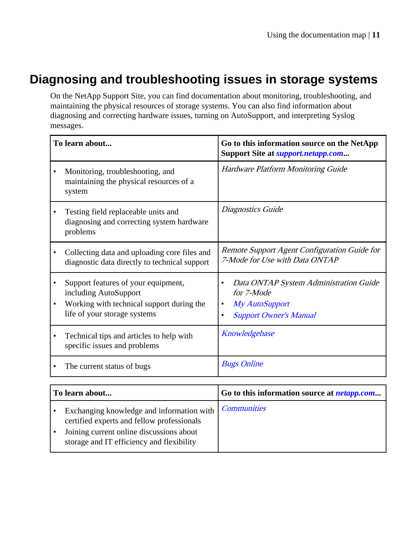### <span id="page-10-0"></span>**Diagnosing and troubleshooting issues in storage systems**

On the NetApp Support Site, you can find documentation about monitoring, troubleshooting, and maintaining the physical resources of storage systems. You can also find information about diagnosing and correcting hardware issues, turning on AutoSupport, and interpreting Syslog messages.

| To learn about                                                                                                                            | Go to this information source on the NetApp<br>Support Site at <i>support.netapp.com</i>                                               |
|-------------------------------------------------------------------------------------------------------------------------------------------|----------------------------------------------------------------------------------------------------------------------------------------|
| Monitoring, troubleshooting, and<br>maintaining the physical resources of a<br>system                                                     | <b>Hardware Platform Monitoring Guide</b>                                                                                              |
| Testing field replaceable units and<br>diagnosing and correcting system hardware<br>problems                                              | Diagnostics Guide                                                                                                                      |
| Collecting data and uploading core files and<br>diagnostic data directly to technical support                                             | Remote Support Agent Configuration Guide for<br>7-Mode for Use with Data ONTAP                                                         |
| Support features of your equipment,<br>including AutoSupport<br>Working with technical support during the<br>life of your storage systems | Data ONTAP System Administration Guide<br>$\bullet$<br>for 7-Mode<br>My AutoSupport<br>٠<br><b>Support Owner's Manual</b><br>$\bullet$ |
| Technical tips and articles to help with<br>specific issues and problems                                                                  | Knowledgebase                                                                                                                          |
| The current status of bugs                                                                                                                | <b>Bugs Online</b>                                                                                                                     |

| To learn about                                                                                                                                                                   | Go to this information source at <i>netapp.com</i> |
|----------------------------------------------------------------------------------------------------------------------------------------------------------------------------------|----------------------------------------------------|
| Exchanging knowledge and information with<br>certified experts and fellow professionals<br>Joining current online discussions about<br>storage and IT efficiency and flexibility | Communities                                        |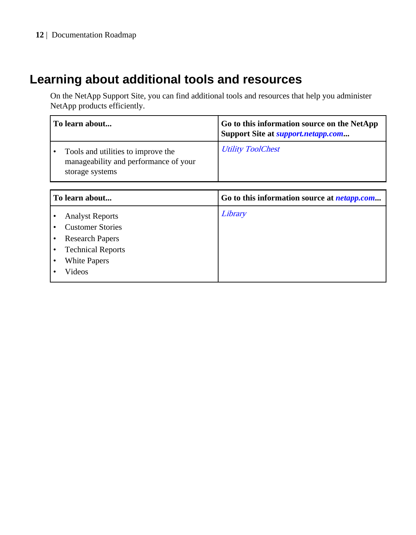#### <span id="page-11-0"></span>**12** | Documentation Roadmap

### **Learning about additional tools and resources**

On the NetApp Support Site, you can find additional tools and resources that help you administer NetApp products efficiently.

| To learn about                                                                                 | Go to this information source on the NetApp<br>Support Site at <i>support.netapp.com</i> |
|------------------------------------------------------------------------------------------------|------------------------------------------------------------------------------------------|
| Tools and utilities to improve the<br>manageability and performance of your<br>storage systems | <b>Utility ToolChest</b>                                                                 |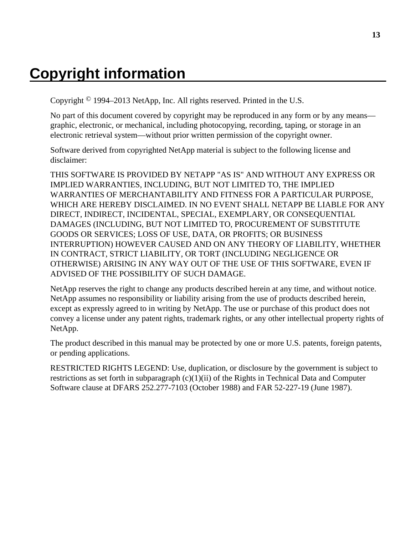# <span id="page-12-0"></span>**Copyright information**

Copyright © 1994–2013 NetApp, Inc. All rights reserved. Printed in the U.S.

No part of this document covered by copyright may be reproduced in any form or by any means graphic, electronic, or mechanical, including photocopying, recording, taping, or storage in an electronic retrieval system—without prior written permission of the copyright owner.

Software derived from copyrighted NetApp material is subject to the following license and disclaimer:

THIS SOFTWARE IS PROVIDED BY NETAPP "AS IS" AND WITHOUT ANY EXPRESS OR IMPLIED WARRANTIES, INCLUDING, BUT NOT LIMITED TO, THE IMPLIED WARRANTIES OF MERCHANTABILITY AND FITNESS FOR A PARTICULAR PURPOSE, WHICH ARE HEREBY DISCLAIMED. IN NO EVENT SHALL NETAPP BE LIABLE FOR ANY DIRECT, INDIRECT, INCIDENTAL, SPECIAL, EXEMPLARY, OR CONSEQUENTIAL DAMAGES (INCLUDING, BUT NOT LIMITED TO, PROCUREMENT OF SUBSTITUTE GOODS OR SERVICES; LOSS OF USE, DATA, OR PROFITS; OR BUSINESS INTERRUPTION) HOWEVER CAUSED AND ON ANY THEORY OF LIABILITY, WHETHER IN CONTRACT, STRICT LIABILITY, OR TORT (INCLUDING NEGLIGENCE OR OTHERWISE) ARISING IN ANY WAY OUT OF THE USE OF THIS SOFTWARE, EVEN IF ADVISED OF THE POSSIBILITY OF SUCH DAMAGE.

NetApp reserves the right to change any products described herein at any time, and without notice. NetApp assumes no responsibility or liability arising from the use of products described herein, except as expressly agreed to in writing by NetApp. The use or purchase of this product does not convey a license under any patent rights, trademark rights, or any other intellectual property rights of NetApp.

The product described in this manual may be protected by one or more U.S. patents, foreign patents, or pending applications.

RESTRICTED RIGHTS LEGEND: Use, duplication, or disclosure by the government is subject to restrictions as set forth in subparagraph  $(c)(1)(ii)$  of the Rights in Technical Data and Computer Software clause at DFARS 252.277-7103 (October 1988) and FAR 52-227-19 (June 1987).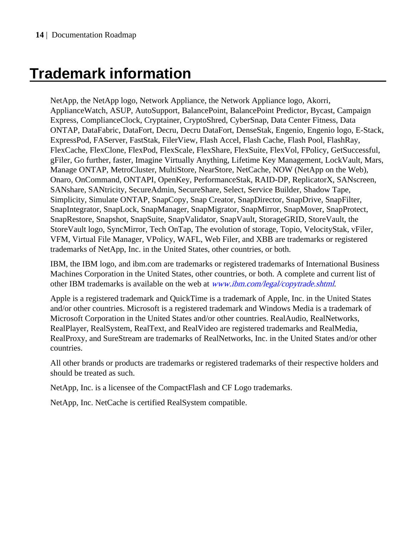# <span id="page-13-0"></span>**Trademark information**

NetApp, the NetApp logo, Network Appliance, the Network Appliance logo, Akorri, ApplianceWatch, ASUP, AutoSupport, BalancePoint, BalancePoint Predictor, Bycast, Campaign Express, ComplianceClock, Cryptainer, CryptoShred, CyberSnap, Data Center Fitness, Data ONTAP, DataFabric, DataFort, Decru, Decru DataFort, DenseStak, Engenio, Engenio logo, E-Stack, ExpressPod, FAServer, FastStak, FilerView, Flash Accel, Flash Cache, Flash Pool, FlashRay, FlexCache, FlexClone, FlexPod, FlexScale, FlexShare, FlexSuite, FlexVol, FPolicy, GetSuccessful, gFiler, Go further, faster, Imagine Virtually Anything, Lifetime Key Management, LockVault, Mars, Manage ONTAP, MetroCluster, MultiStore, NearStore, NetCache, NOW (NetApp on the Web), Onaro, OnCommand, ONTAPI, OpenKey, PerformanceStak, RAID-DP, ReplicatorX, SANscreen, SANshare, SANtricity, SecureAdmin, SecureShare, Select, Service Builder, Shadow Tape, Simplicity, Simulate ONTAP, SnapCopy, Snap Creator, SnapDirector, SnapDrive, SnapFilter, SnapIntegrator, SnapLock, SnapManager, SnapMigrator, SnapMirror, SnapMover, SnapProtect, SnapRestore, Snapshot, SnapSuite, SnapValidator, SnapVault, StorageGRID, StoreVault, the StoreVault logo, SyncMirror, Tech OnTap, The evolution of storage, Topio, VelocityStak, vFiler, VFM, Virtual File Manager, VPolicy, WAFL, Web Filer, and XBB are trademarks or registered trademarks of NetApp, Inc. in the United States, other countries, or both.

IBM, the IBM logo, and ibm.com are trademarks or registered trademarks of International Business Machines Corporation in the United States, other countries, or both. A complete and current list of other IBM trademarks is available on the web at *[www.ibm.com/legal/copytrade.shtml](http://www.ibm.com/legal/copytrade.shtml).* 

Apple is a registered trademark and QuickTime is a trademark of Apple, Inc. in the United States and/or other countries. Microsoft is a registered trademark and Windows Media is a trademark of Microsoft Corporation in the United States and/or other countries. RealAudio, RealNetworks, RealPlayer, RealSystem, RealText, and RealVideo are registered trademarks and RealMedia, RealProxy, and SureStream are trademarks of RealNetworks, Inc. in the United States and/or other countries.

All other brands or products are trademarks or registered trademarks of their respective holders and should be treated as such.

NetApp, Inc. is a licensee of the CompactFlash and CF Logo trademarks.

NetApp, Inc. NetCache is certified RealSystem compatible.